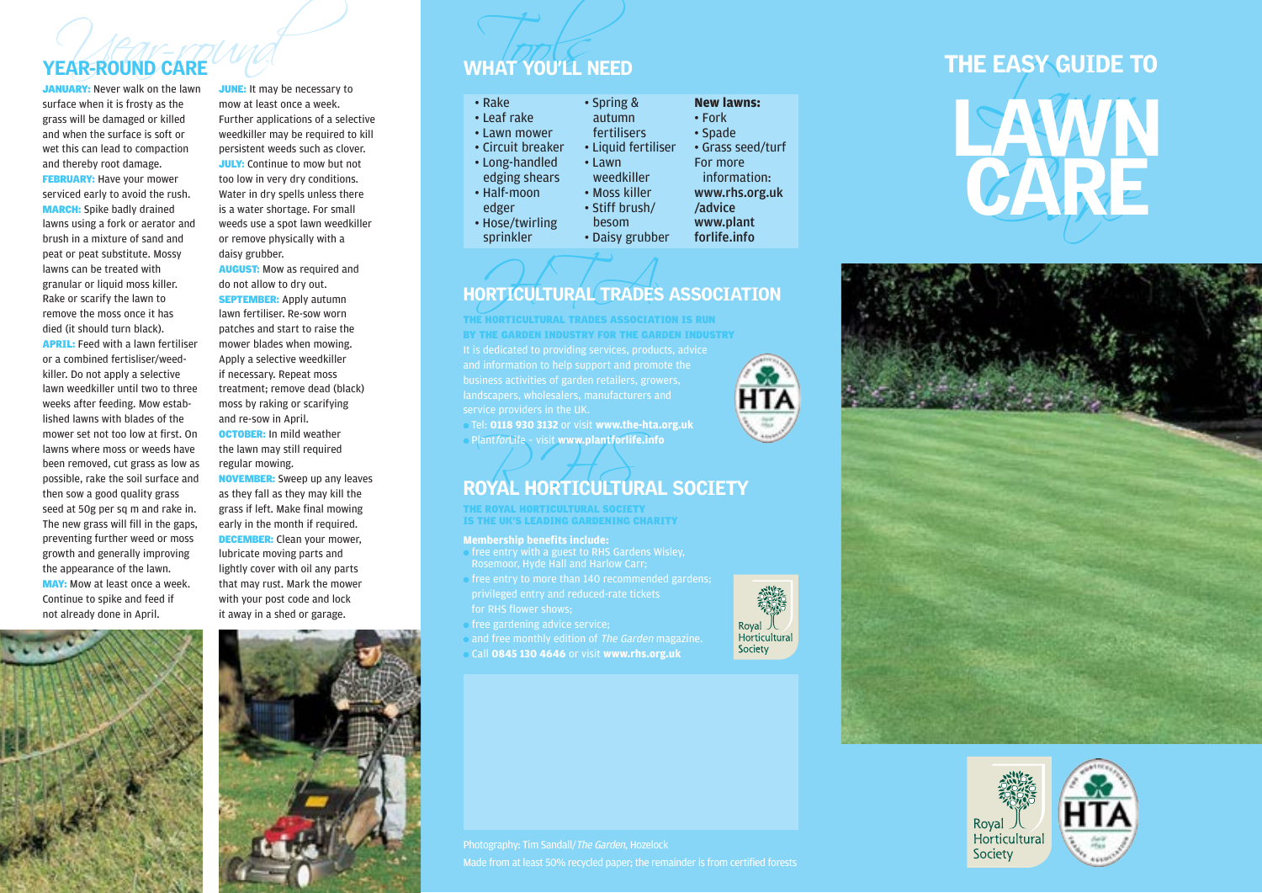JANUARY: Never walk on the lawn surface when it is frosty as the grass will be damaged or killed and when the surface is soft or wet this can lead to compaction and thereby root damage. **FEBRUARY:** Have your mower serviced early to avoid the rush. MARCH: Spike badly drained lawns using a fork or aerator and brush in a mixture of sand and peat or peat substitute. Mossy lawns can be treated with granular or liquid moss killer. Rake or scarify the lawn to remove the moss once it has died (it should turn black). APRIL: Feed with a lawn fertiliser or a combined fertisliser/weedkiller. Do not apply a selective lawn weedkiller until two to three weeks after feeding. Mow established lawns with blades of the mower set not too low at first. On lawns where moss or weeds have been removed, cut grass as low as possible, rake the soil surface and then sow a good quality grass seed at 50g per sq m and rake in. The new grass will fill in the gaps, preventing further weed or moss growth and generally improving the appearance of the lawn. MAY: Mow at least once a week. Continue to spike and feed if not already done in April.

**JUNE:** It may be necessary to mow at least once a week. Further applications of a selective weedkiller may be required to kill persistent weeds such as clover. **JULY:** Continue to mow but not too low in very dry conditions. Water in dry spells unless there is a water shortage. For small weeds use a spot lawn weedkiller or remove physically with a daisy grubber.

AUGUST: Mow as required and do not allow to dry out.

**SEPTEMBER:** Apply autumn lawn fertiliser. Re-sow worn patches and start to raise the mower blades when mowing. Apply a selective weedkiller if necessary. Repeat moss treatment; remove dead (black) moss by raking or scarifying and re-sow in April.

OCTOBER: In mild weather the lawn may still required regular mowing.

NOVEMBER: Sweep up any leaves as they fall as they may kill the grass if left. Make final mowing early in the month if required. DECEMBER: Clean your mower, lubricate moving parts and lightly cover with oil any parts that may rust. Mark the mower with your post code and lock it away in a shed or garage.



# $\frac{1}{\sqrt{1-\frac{1}{2}}\sqrt{1-\frac{1}{2}}\sqrt{1-\frac{1}{2}}\sqrt{1-\frac{1}{2}}\sqrt{1-\frac{1}{2}}\sqrt{\frac{1}{2}}\sqrt{\frac{1}{2}}\sqrt{\frac{1}{2}}\sqrt{\frac{1}{2}}\sqrt{\frac{1}{2}}\sqrt{\frac{1}{2}}\sqrt{\frac{1}{2}}\sqrt{\frac{1}{2}}\sqrt{\frac{1}{2}}\sqrt{\frac{1}{2}}\sqrt{\frac{1}{2}}\sqrt{\frac{1}{2}}\sqrt{\frac{1}{2}}\sqrt{\frac{1}{2}}\sqrt{\frac{1}{2}}\sqrt{\frac{1}{2}}\sqrt{\frac{1}{2}}\sqrt{\frac{1}{$

| • Rake            | • Spring &          | <b>New lawns:</b> |
|-------------------|---------------------|-------------------|
| • Leaf rake       | autumn              | $\cdot$ Fork      |
| • Lawn mower      | fertilisers         | • Spade           |
| • Circuit breaker | • Liquid fertiliser | • Grass seed/turf |
| • Long-handled    | • Lawn              | For more          |
| edging shears     | weedkiller          | information:      |
| • Half-moon       | • Moss killer       | www.rhs.org.uk    |
| edger             | • Stiff brush/      | /advice           |
| • Hose/twirling   | besom               | www.plant         |
| sprinkler         | • Daisy grubber     | forlife.info      |

## ORTICULTURAL TRADES HORTICULTURAL TRADES ASSOCIATION

landscapers, wholesalers, manufacturers and THE HORTICULTURAL TRADES ASSOCIATION IS RUN BY THE GARDEN INDUSTRY FOR THE GARDEN INDUSTRY

● Tel: **0118 930 3132** or visit **www.the-hta.org.uk** ● PlantforLife – visit **www.plantforlife.info**

## Plant*for*Life - visit www.plantforlife.info<br>ROYAL HORTICULTURAL SOCIETY

THE ROYAL HORTICULTURAL SOCIETY IS THE UK'S LEADING GARDENING CHARITY

### **Membership benefits include:**

- free entry with a guest to RHS Gardens Wisley, Rosemoor, Hyde Hall and Harlow Carr;
- free entry to more than 140 recommended gardens;
- free gardening advice service;
- and free monthly edition of The Garden magazine.
- Call **0845 130 4646** or visit **www.rhs.org.uk**



## VEAR-ROUND CARE<br>
SANUARY: Never walk on the lawn<br>
surface when it is frosty as the mow at least once a week.<br>
The EASY GUIDE TO<br>
surface when the surface is soft or weekliller may be required to kill<br>
and when the surface CARE LAWN **CARE** THE EASY GUIDE TO





Made from at least 50% recycled paper; the remainder is from certified forests